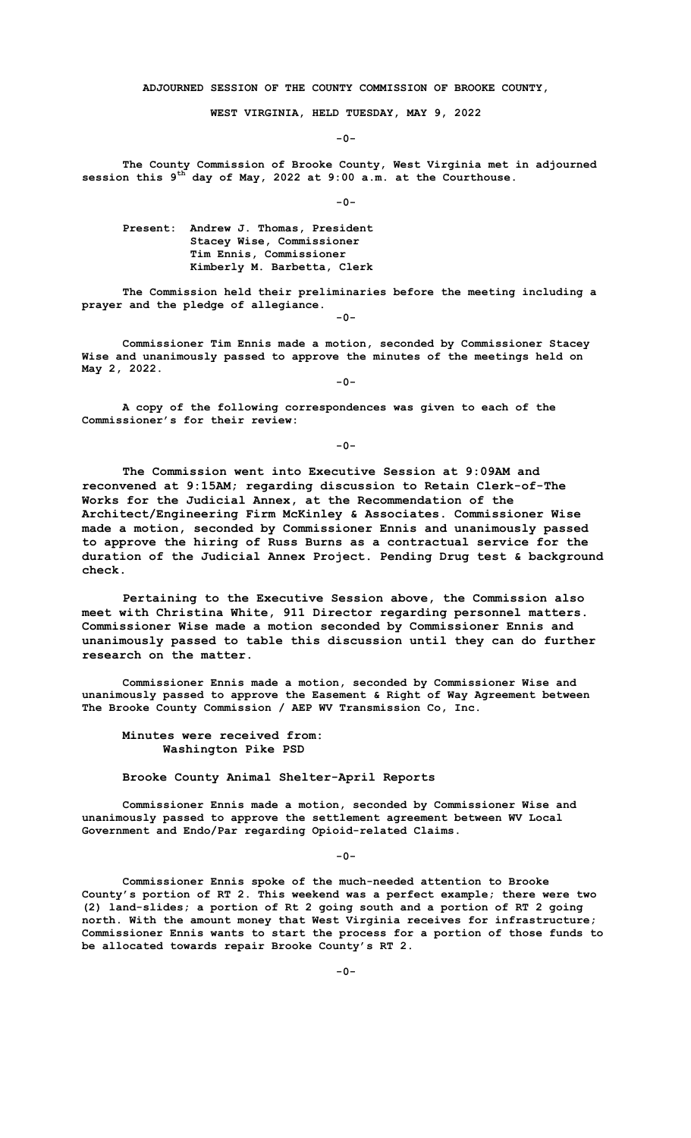**ADJOURNED SESSION OF THE COUNTY COMMISSION OF BROOKE COUNTY,**

**WEST VIRGINIA, HELD TUESDAY, MAY 9, 2022**

**-0-**

**The County Commission of Brooke County, West Virginia met in adjourned session this 9th day of May, 2022 at 9:00 a.m. at the Courthouse.**

**-0-**

**Present: Andrew J. Thomas, President Stacey Wise, Commissioner Tim Ennis, Commissioner Kimberly M. Barbetta, Clerk**

**The Commission held their preliminaries before the meeting including a prayer and the pledge of allegiance. -0-**

**Commissioner Tim Ennis made a motion, seconded by Commissioner Stacey Wise and unanimously passed to approve the minutes of the meetings held on May 2, 2022.**

**-0-**

**A copy of the following correspondences was given to each of the Commissioner's for their review:**

**-0-**

**The Commission went into Executive Session at 9:09AM and reconvened at 9:15AM; regarding discussion to Retain Clerk-of-The Works for the Judicial Annex, at the Recommendation of the Architect/Engineering Firm McKinley & Associates. Commissioner Wise made a motion, seconded by Commissioner Ennis and unanimously passed to approve the hiring of Russ Burns as a contractual service for the duration of the Judicial Annex Project. Pending Drug test & background check.**

**Pertaining to the Executive Session above, the Commission also meet with Christina White, 911 Director regarding personnel matters. Commissioner Wise made a motion seconded by Commissioner Ennis and unanimously passed to table this discussion until they can do further research on the matter.** 

**Commissioner Ennis made a motion, seconded by Commissioner Wise and unanimously passed to approve the Easement & Right of Way Agreement between The Brooke County Commission / AEP WV Transmission Co, Inc.** 

**Minutes were received from: Washington Pike PSD**

**Brooke County Animal Shelter-April Reports** 

**Commissioner Ennis made a motion, seconded by Commissioner Wise and unanimously passed to approve the settlement agreement between WV Local Government and Endo/Par regarding Opioid-related Claims.**

**-0-**

**Commissioner Ennis spoke of the much-needed attention to Brooke County's portion of RT 2. This weekend was a perfect example; there were two (2) land-slides; a portion of Rt 2 going south and a portion of RT 2 going north. With the amount money that West Virginia receives for infrastructure; Commissioner Ennis wants to start the process for a portion of those funds to be allocated towards repair Brooke County's RT 2.**